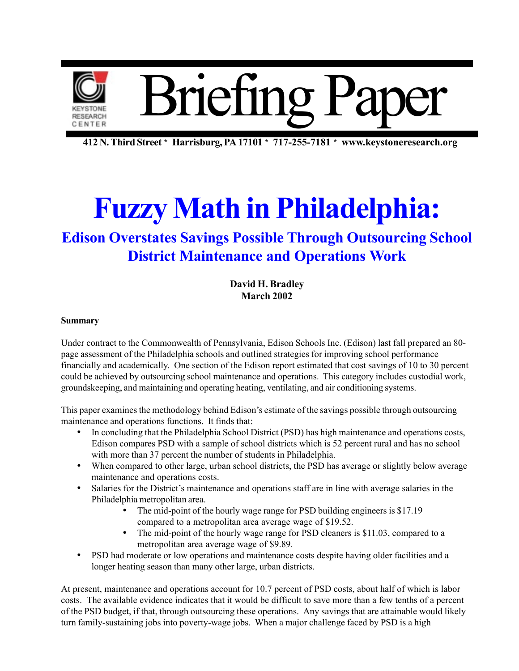

**412 N. Third Street** \* **Harrisburg, PA 17101** \* **717-255-7181** \* **www.keystoneresearch.org**

# **Fuzzy Math in Philadelphia:**

### **Edison Overstates Savings Possible Through Outsourcing School District Maintenance and Operations Work**

**David H. Bradley March 2002**

#### **Summary**

Under contract to the Commonwealth of Pennsylvania, Edison Schools Inc. (Edison) last fall prepared an 80 page assessment of the Philadelphia schools and outlined strategies for improving school performance financially and academically. One section of the Edison report estimated that cost savings of 10 to 30 percent could be achieved by outsourcing school maintenance and operations. This category includes custodial work, groundskeeping, and maintaining and operating heating, ventilating, and air conditioning systems.

This paper examines the methodology behind Edison's estimate of the savings possible through outsourcing maintenance and operations functions. It finds that:

- In concluding that the Philadelphia School District (PSD) has high maintenance and operations costs, Edison compares PSD with a sample of school districts which is 52 percent rural and has no school with more than 37 percent the number of students in Philadelphia.
- When compared to other large, urban school districts, the PSD has average or slightly below average maintenance and operations costs.
- Salaries for the District's maintenance and operations staff are in line with average salaries in the Philadelphia metropolitan area.
	- The mid-point of the hourly wage range for PSD building engineers is \$17.19 compared to a metropolitan area average wage of \$19.52.
	- The mid-point of the hourly wage range for PSD cleaners is \$11.03, compared to a metropolitan area average wage of \$9.89.
- PSD had moderate or low operations and maintenance costs despite having older facilities and a longer heating season than many other large, urban districts.

At present, maintenance and operations account for 10.7 percent of PSD costs, about half of which is labor costs. The available evidence indicates that it would be difficult to save more than a few tenths of a percent of the PSD budget, if that, through outsourcing these operations. Any savings that are attainable would likely turn family-sustaining jobs into poverty-wage jobs. When a major challenge faced by PSD is a high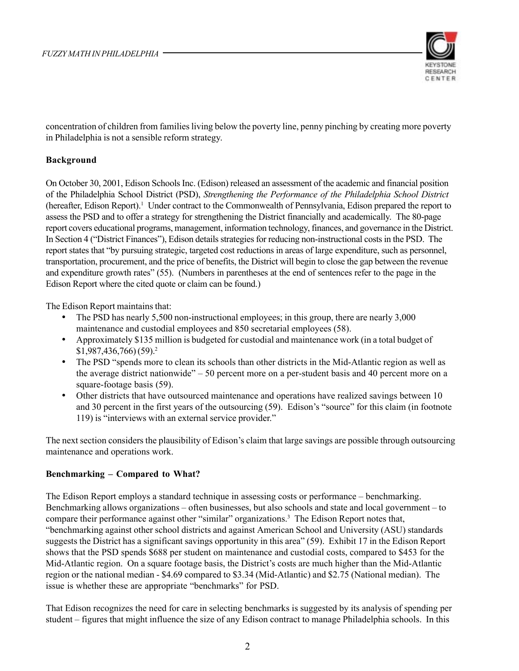

concentration of children from families living below the poverty line, penny pinching by creating more poverty in Philadelphia is not a sensible reform strategy.

### **Background**

On October 30, 2001, Edison Schools Inc. (Edison) released an assessment of the academic and financial position of the Philadelphia School District (PSD), *Strengthening the Performance of the Philadelphia School District* (hereafter, Edison Report).<sup>1</sup> Under contract to the Commonwealth of Pennsylvania, Edison prepared the report to assess the PSD and to offer a strategy for strengthening the District financially and academically. The 80-page report covers educational programs, management, information technology, finances, and governance in the District. In Section 4 ("District Finances"), Edison details strategies for reducing non-instructional costs in the PSD. The report states that "by pursuing strategic, targeted cost reductions in areas of large expenditure, such as personnel, transportation, procurement, and the price of benefits, the District will begin to close the gap between the revenue and expenditure growth rates" (55). (Numbers in parentheses at the end of sentences refer to the page in the Edison Report where the cited quote or claim can be found.)

The Edison Report maintains that:

- The PSD has nearly 5,500 non-instructional employees; in this group, there are nearly 3,000 maintenance and custodial employees and 850 secretarial employees (58).
- Approximately \$135 million is budgeted for custodial and maintenance work (in a total budget of  $$1,987,436,766$  $(59).^2$
- The PSD "spends more to clean its schools than other districts in the Mid-Atlantic region as well as the average district nationwide" – 50 percent more on a per-student basis and 40 percent more on a square-footage basis (59).
- Other districts that have outsourced maintenance and operations have realized savings between 10 and 30 percent in the first years of the outsourcing (59). Edison's "source" for this claim (in footnote 119) is "interviews with an external service provider."

The next section considers the plausibility of Edison's claim that large savings are possible through outsourcing maintenance and operations work.

### **Benchmarking – Compared to What?**

The Edison Report employs a standard technique in assessing costs or performance – benchmarking. Benchmarking allows organizations – often businesses, but also schools and state and local government – to compare their performance against other "similar" organizations.<sup>3</sup> The Edison Report notes that, "benchmarking against other school districts and against American School and University (ASU) standards suggests the District has a significant savings opportunity in this area" (59). Exhibit 17 in the Edison Report shows that the PSD spends \$688 per student on maintenance and custodial costs, compared to \$453 for the Mid-Atlantic region. On a square footage basis, the District's costs are much higher than the Mid-Atlantic region or the national median - \$4.69 compared to \$3.34 (Mid-Atlantic) and \$2.75 (National median). The issue is whether these are appropriate "benchmarks" for PSD.

That Edison recognizes the need for care in selecting benchmarks is suggested by its analysis of spending per student – figures that might influence the size of any Edison contract to manage Philadelphia schools. In this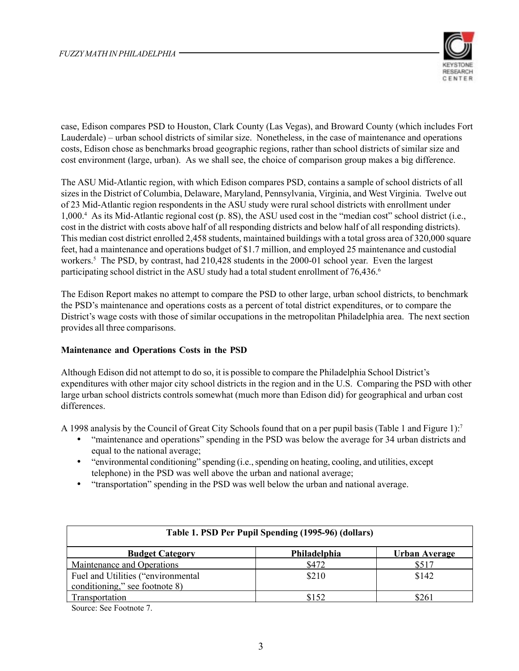

case, Edison compares PSD to Houston, Clark County (Las Vegas), and Broward County (which includes Fort Lauderdale) – urban school districts of similar size. Nonetheless, in the case of maintenance and operations costs, Edison chose as benchmarks broad geographic regions, rather than school districts of similar size and cost environment (large, urban). As we shall see, the choice of comparison group makes a big difference.

The ASU Mid-Atlantic region, with which Edison compares PSD, contains a sample of school districts of all sizes in the District of Columbia, Delaware, Maryland, Pennsylvania, Virginia, and West Virginia. Twelve out of 23 Mid-Atlantic region respondents in the ASU study were rural school districts with enrollment under 1,000.4 As its Mid-Atlantic regional cost (p. 8S), the ASU used cost in the "median cost" school district (i.e., cost in the district with costs above half of all responding districts and below half of all responding districts). This median cost district enrolled 2,458 students, maintained buildings with a total gross area of 320,000 square feet, had a maintenance and operations budget of \$1.7 million, and employed 25 maintenance and custodial workers.<sup>5</sup> The PSD, by contrast, had 210,428 students in the 2000-01 school year. Even the largest participating school district in the ASU study had a total student enrollment of 76.436.<sup>6</sup>

The Edison Report makes no attempt to compare the PSD to other large, urban school districts, to benchmark the PSD's maintenance and operations costs as a percent of total district expenditures, or to compare the District's wage costs with those of similar occupations in the metropolitan Philadelphia area. The next section provides all three comparisons.

### **Maintenance and Operations Costs in the PSD**

Although Edison did not attempt to do so, it is possible to compare the Philadelphia School District's expenditures with other major city school districts in the region and in the U.S. Comparing the PSD with other large urban school districts controls somewhat (much more than Edison did) for geographical and urban cost differences.

A 1998 analysis by the Council of Great City Schools found that on a per pupil basis (Table 1 and Figure 1):7

- "maintenance and operations" spending in the PSD was below the average for 34 urban districts and equal to the national average;
- "environmental conditioning" spending (i.e., spending on heating, cooling, and utilities, except telephone) in the PSD was well above the urban and national average;
- "transportation" spending in the PSD was well below the urban and national average.

| Table 1. PSD Per Pupil Spending (1995-96) (dollars)                  |              |               |  |
|----------------------------------------------------------------------|--------------|---------------|--|
| <b>Budget Category</b>                                               | Philadelphia | Urban Average |  |
| Maintenance and Operations                                           | \$472        | \$517         |  |
| Fuel and Utilities ("environmental<br>conditioning," see footnote 8) | \$210        | \$142         |  |
| Transportation                                                       | \$152        | \$261         |  |

Source: See Footnote 7.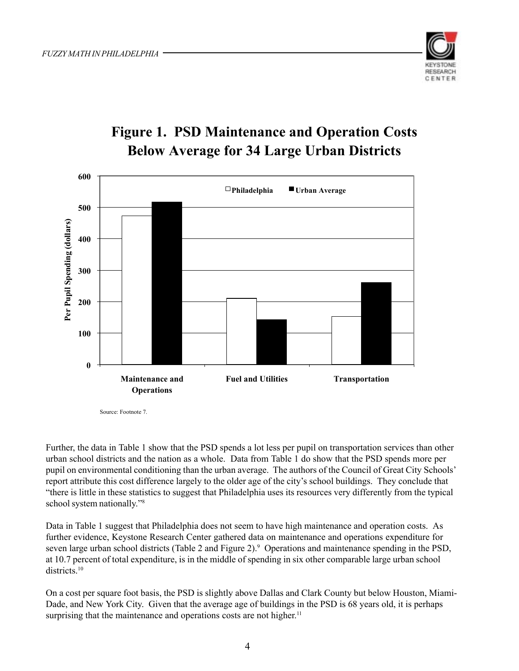

### **Figure 1. PSD Maintenance and Operation Costs Below Average for 34 Large Urban Districts**



Source: Footnote 7.

Further, the data in Table 1 show that the PSD spends a lot less per pupil on transportation services than other urban school districts and the nation as a whole. Data from Table 1 do show that the PSD spends more per pupil on environmental conditioning than the urban average. The authors of the Council of Great City Schools' report attribute this cost difference largely to the older age of the city's school buildings. They conclude that "there is little in these statistics to suggest that Philadelphia uses its resources very differently from the typical school system nationally."8

Data in Table 1 suggest that Philadelphia does not seem to have high maintenance and operation costs. As further evidence, Keystone Research Center gathered data on maintenance and operations expenditure for seven large urban school districts (Table 2 and Figure 2).<sup>9</sup> Operations and maintenance spending in the PSD, at 10.7 percent of total expenditure, is in the middle of spending in six other comparable large urban school districts<sup>10</sup>

On a cost per square foot basis, the PSD is slightly above Dallas and Clark County but below Houston, Miami-Dade, and New York City. Given that the average age of buildings in the PSD is 68 years old, it is perhaps surprising that the maintenance and operations costs are not higher.<sup>11</sup>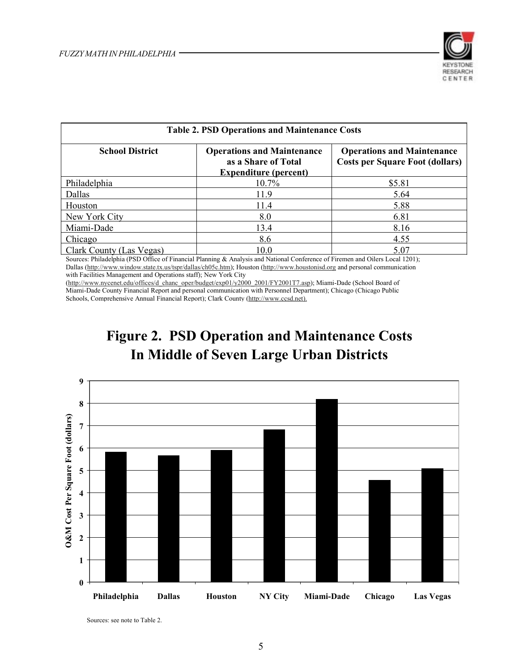

| <b>Table 2. PSD Operations and Maintenance Costs</b> |                                                                                          |                                                                             |  |
|------------------------------------------------------|------------------------------------------------------------------------------------------|-----------------------------------------------------------------------------|--|
| <b>School District</b>                               | <b>Operations and Maintenance</b><br>as a Share of Total<br><b>Expenditure (percent)</b> | <b>Operations and Maintenance</b><br><b>Costs per Square Foot (dollars)</b> |  |
| Philadelphia                                         | 10.7%                                                                                    | \$5.81                                                                      |  |
| Dallas                                               | 11.9                                                                                     | 5.64                                                                        |  |
| Houston                                              | 11.4                                                                                     | 5.88                                                                        |  |
| New York City                                        | 8.0                                                                                      | 6.81                                                                        |  |
| Miami-Dade                                           | 13.4                                                                                     | 8.16                                                                        |  |
| Chicago                                              | 8.6                                                                                      | 4.55                                                                        |  |
| Clark County (Las Vegas)                             | 10.0                                                                                     | 5.07                                                                        |  |

Sources: Philadelphia (PSD Office of Financial Planning & Analysis and National Conference of Firemen and Oilers Local 1201); Dallas (http://www.window.state.tx.us/tspr/dallas/ch05c.htm); Houston (http://www.houstonisd.org and personal communication with Facilities Management and Operations staff); New York City

(http://www.nycenet.edu/offices/d\_chanc\_oper/budget/exp01/y2000\_2001/FY2001T7.asp); Miami-Dade (School Board of Miami-Dade County Financial Report and personal communication with Personnel Department); Chicago (Chicago Public Schools, Comprehensive Annual Financial Report); Clark County (http://www.ccsd.net).





Sources: see note to Table 2.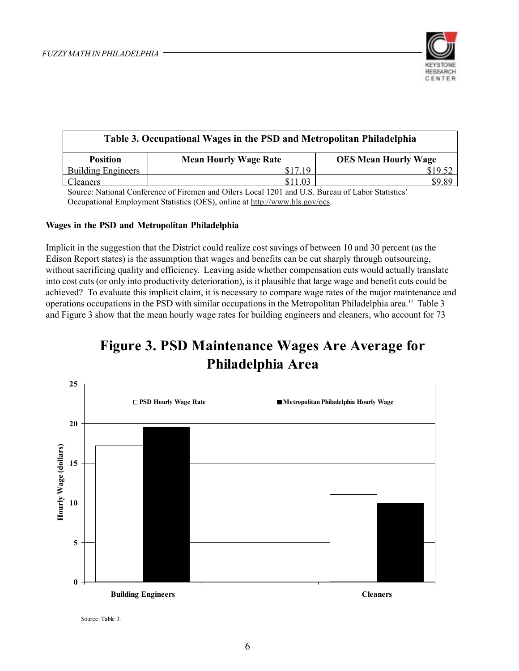

| Table 3. Occupational Wages in the PSD and Metropolitan Philadelphia |                              |                             |  |
|----------------------------------------------------------------------|------------------------------|-----------------------------|--|
| <b>Position</b>                                                      | <b>Mean Hourly Wage Rate</b> | <b>OES Mean Hourly Wage</b> |  |
| <b>Building Engineers</b>                                            | \$17.19                      |                             |  |
| <b>Cleaners</b>                                                      | \$11.03                      | \$9.89                      |  |

Source: National Conference of Firemen and Oilers Local 1201 and U.S. Bureau of Labor Statistics' Occupational Employment Statistics (OES), online at http://www.bls.gov/oes.

#### **Wages in the PSD and Metropolitan Philadelphia**

Implicit in the suggestion that the District could realize cost savings of between 10 and 30 percent (as the Edison Report states) is the assumption that wages and benefits can be cut sharply through outsourcing, without sacrificing quality and efficiency. Leaving aside whether compensation cuts would actually translate into cost cuts (or only into productivity deterioration), is it plausible that large wage and benefit cuts could be achieved? To evaluate this implicit claim, it is necessary to compare wage rates of the major maintenance and operations occupations in the PSD with similar occupations in the Metropolitan Philadelphia area.12 Table 3 and Figure 3 show that the mean hourly wage rates for building engineers and cleaners, who account for 73

### **Figure 3. PSD Maintenance Wages Are Average for Philadelphia Area**



Source: Table 3.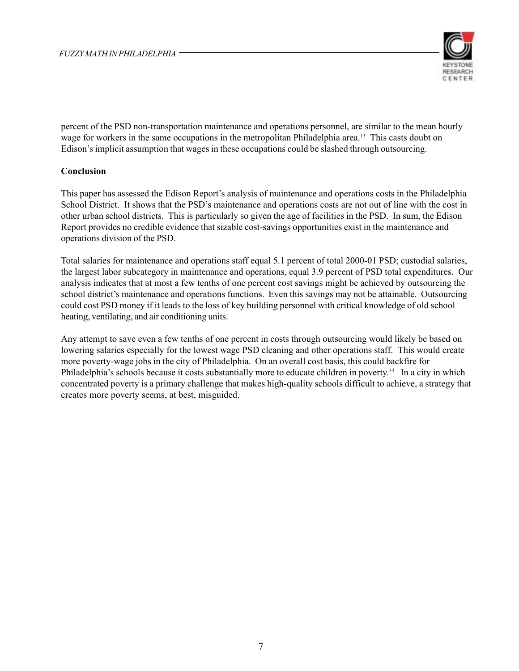

percent of the PSD non-transportation maintenance and operations personnel, are similar to the mean hourly wage for workers in the same occupations in the metropolitan Philadelphia area.<sup>13</sup> This casts doubt on Edison's implicit assumption that wages in these occupations could be slashed through outsourcing.

### **Conclusion**

This paper has assessed the Edison Report's analysis of maintenance and operations costs in the Philadelphia School District. It shows that the PSD's maintenance and operations costs are not out of line with the cost in other urban school districts. This is particularly so given the age of facilities in the PSD. In sum, the Edison Report provides no credible evidence that sizable cost-savings opportunities exist in the maintenance and operations division of the PSD.

Total salaries for maintenance and operations staff equal 5.1 percent of total 2000-01 PSD; custodial salaries, the largest labor subcategory in maintenance and operations, equal 3.9 percent of PSD total expenditures. Our analysis indicates that at most a few tenths of one percent cost savings might be achieved by outsourcing the school district's maintenance and operations functions. Even this savings may not be attainable. Outsourcing could cost PSD money if it leads to the loss of key building personnel with critical knowledge of old school heating, ventilating, and air conditioning units.

Any attempt to save even a few tenths of one percent in costs through outsourcing would likely be based on lowering salaries especially for the lowest wage PSD cleaning and other operations staff. This would create more poverty-wage jobs in the city of Philadelphia. On an overall cost basis, this could backfire for Philadelphia's schools because it costs substantially more to educate children in poverty.<sup>14</sup> In a city in which concentrated poverty is a primary challenge that makes high-quality schools difficult to achieve, a strategy that creates more poverty seems, at best, misguided.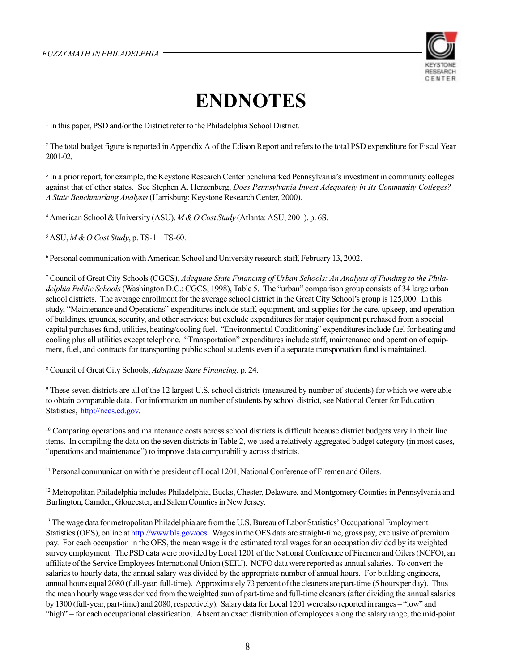

## **ENDNOTES**

<sup>1</sup> In this paper, PSD and/or the District refer to the Philadelphia School District.

2 The total budget figure is reported in Appendix A of the Edison Report and refers to the total PSD expenditure for Fiscal Year 2001-02.

<sup>3</sup> In a prior report, for example, the Keystone Research Center benchmarked Pennsylvania's investment in community colleges against that of other states. See Stephen A. Herzenberg, *Does Pennsylvania Invest Adequately in Its Community Colleges? A State Benchmarking Analysis* (Harrisburg: Keystone Research Center, 2000).

4 American School & University (ASU), *M & O Cost Study* (Atlanta: ASU, 2001), p. 6S.

5 ASU, *M & O Cost Study*, p. TS-1 – TS-60.

6 Personal communication with American School and University research staff, February 13, 2002.

7 Council of Great City Schools (CGCS), *Adequate State Financing of Urban Schools: An Analysis of Funding to the Philadelphia Public Schools* (Washington D.C.: CGCS, 1998), Table 5. The "urban" comparison group consists of 34 large urban school districts. The average enrollment for the average school district in the Great City School's group is 125,000. In this study, "Maintenance and Operations" expenditures include staff, equipment, and supplies for the care, upkeep, and operation of buildings, grounds, security, and other services; but exclude expenditures for major equipment purchased from a special capital purchases fund, utilities, heating/cooling fuel. "Environmental Conditioning" expenditures include fuel for heating and cooling plus all utilities except telephone. "Transportation" expenditures include staff, maintenance and operation of equipment, fuel, and contracts for transporting public school students even if a separate transportation fund is maintained.

8 Council of Great City Schools, *Adequate State Financing*, p. 24.

9 These seven districts are all of the 12 largest U.S. school districts (measured by number of students) for which we were able to obtain comparable data. For information on number of students by school district, see National Center for Education Statistics, http://nces.ed.gov.

<sup>10</sup> Comparing operations and maintenance costs across school districts is difficult because district budgets vary in their line items. In compiling the data on the seven districts in Table 2, we used a relatively aggregated budget category (in most cases, "operations and maintenance") to improve data comparability across districts.

<sup>11</sup> Personal communication with the president of Local 1201, National Conference of Firemen and Oilers.

<sup>12</sup> Metropolitan Philadelphia includes Philadelphia, Bucks, Chester, Delaware, and Montgomery Counties in Pennsylvania and Burlington, Camden, Gloucester, and Salem Counties in New Jersey.

<sup>13</sup> The wage data for metropolitan Philadelphia are from the U.S. Bureau of Labor Statistics' Occupational Employment Statistics (OES), online at http://www.bls.gov/oes. Wages in the OES data are straight-time, gross pay, exclusive of premium pay. For each occupation in the OES, the mean wage is the estimated total wages for an occupation divided by its weighted survey employment. The PSD data were provided by Local 1201 of the National Conference of Firemen and Oilers (NCFO), an affiliate of the Service Employees International Union (SEIU). NCFO data were reported as annual salaries. To convert the salaries to hourly data, the annual salary was divided by the appropriate number of annual hours. For building engineers, annual hours equal 2080 (full-year, full-time). Approximately 73 percent of the cleaners are part-time (5 hours per day). Thus the mean hourly wage was derived from the weighted sum of part-time and full-time cleaners (after dividing the annual salaries by 1300 (full-year, part-time) and 2080, respectively). Salary data for Local 1201 were also reported in ranges – "low" and "high" – for each occupational classification. Absent an exact distribution of employees along the salary range, the mid-point